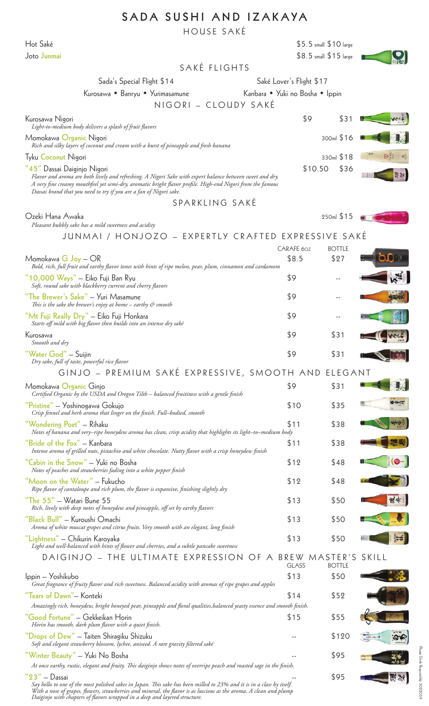## **SADA SUSHI AND IZAKAYA**

HOUSE SAKÉ

Hot Saké \$5.5 small \$10 large

| Joto Junmai                                                                                                                                                                                                                                                                                                                  |                                 |                     | \$8.5 small \$15 large    |       |
|------------------------------------------------------------------------------------------------------------------------------------------------------------------------------------------------------------------------------------------------------------------------------------------------------------------------------|---------------------------------|---------------------|---------------------------|-------|
| SAKÉ FLIGHTS                                                                                                                                                                                                                                                                                                                 |                                 |                     |                           |       |
| Sada's Special Flight \$14                                                                                                                                                                                                                                                                                                   | Saké Lover's Flight \$17        |                     |                           |       |
| Kurosawa • Banryu • Yurimasamune<br>NIGORI – CLOUDY SAKÉ                                                                                                                                                                                                                                                                     | Kanbara • Yuki no Bosha • Ippin |                     |                           |       |
| Kurosawa Nigori<br>Light-to-medium body delivers a splash of fruit flavors                                                                                                                                                                                                                                                   |                                 | \$9                 | \$31                      |       |
| Momokawa Organic Nigori<br>Rich and silky layers of coconut and cream with a burst of pineapple and fresh banana                                                                                                                                                                                                             |                                 |                     | 300ml \$16                |       |
| <b>Tyku Coconut Nigori</b>                                                                                                                                                                                                                                                                                                   |                                 |                     | 330ml \$18                |       |
| "45" Dassai Daiginjo Nigori<br>Flavor and aroma are both lively and refreshing. A Nigori Sake with expert balance between sweet and dry.<br>A very fine creamy mouthfeel yet semi-dry, aromatic bright flavor profile. High-end Nigori from the famous<br>Dassai brand that you need to try if you are a fan of Nigori sake. |                                 | \$10.50             | \$36                      |       |
| SPARKLING SAKÉ                                                                                                                                                                                                                                                                                                               |                                 |                     |                           |       |
| Ozeki Hana Awaka<br>Pleasant bubbly sake has a mild sweetness and acidity                                                                                                                                                                                                                                                    |                                 |                     | 250ml \$15                |       |
| JUNMAI / HONJOZO – EXPERTLY CRAFTED EXPRESSIVE SAKÉ                                                                                                                                                                                                                                                                          |                                 |                     |                           |       |
| Momokawa $G$ Joy $-$ OR<br>Bold, rich, full fruit and earthy flavor tones with hints of ripe melon, pear, plum, cinnamon and cardamom                                                                                                                                                                                        |                                 | CARAFE 60Z<br>\$8.5 | <b>BOTTLE</b><br>\$27     |       |
| "10,000 Ways" - Eiko Fuji Ban Ryu<br>Soft, round sake with blackberry current and cherry flavors                                                                                                                                                                                                                             | \$9                             |                     |                           |       |
| "The Brewer's Sake" - Yuri Masamune<br>This is the sake the brewer's enjoy at home $-$ earthy $\mathcal C$ smooth                                                                                                                                                                                                            | \$9                             |                     |                           |       |
| "Mt Fuji Really Dry" - Eiko Fuji Honkara<br>Starts off mild with big flavor then builds into an intense dry saké                                                                                                                                                                                                             | \$9                             |                     |                           |       |
| Kurosawa<br>Smooth and dry                                                                                                                                                                                                                                                                                                   | \$9                             |                     | \$31                      |       |
| "Water God" – Suijin<br>Dry sake, full of taste, powerful rice flavor                                                                                                                                                                                                                                                        | \$9                             |                     | \$31                      |       |
| GINJO – PREMIUM SAKÉ EXPRESSIVE, SMOOTH AND ELEGANT                                                                                                                                                                                                                                                                          |                                 |                     |                           |       |
| Momokawa Organic Ginjo<br>Certified Organic by the USDA and Oregon Tilth - balanced fruitiness with a gentle finish                                                                                                                                                                                                          | \$9                             |                     | \$31                      |       |
| "Pristine" — Yoshinogawa Gokujo<br>Crisp fennel and herb aroma that linger on the finish. Full-bodied, smooth                                                                                                                                                                                                                |                                 | \$10                | \$35                      |       |
| "Wondering Poet" - Rihaku<br>Notes of banana and very-ripe honeydew aroma has clean, crisp acidity that highlights its light-to-medium body                                                                                                                                                                                  | \$11                            |                     | \$38                      |       |
| "Bride of the Fox" - Kanbara<br>Intense aroma of grilled nuts, pistachio and white chocolate. Nutty flavor with a crisp honeydew finish                                                                                                                                                                                      | \$11                            |                     | \$38                      |       |
| "Cabin in the Snow" – Yuki no Bosha<br>Notes of peaches and strawberries fading into a white pepper finish                                                                                                                                                                                                                   |                                 | \$12                | \$48                      |       |
| "Moon on the Water" - Fukucho<br>Ripe flavor of cantaloupe and rich plum, the flavor is expansive, finishing slightly dry                                                                                                                                                                                                    |                                 | \$12                | \$48                      |       |
| "The 55" - Watari Bune 55<br>Rich, lively with deep notes of honeydew and pineapple, off set by earthy flavors                                                                                                                                                                                                               |                                 | \$13                | \$50                      | 废生    |
| "Black Bull" – Kuroushi Omachi<br>Aroma of white muscat grapes and citrus fruits. Very smooth with an elegant, long finish                                                                                                                                                                                                   |                                 | \$13                | \$50                      |       |
| "Lightness" — Chikurin Karoyaka<br>Light and well-balanced with hints of flower and cherries, and a subtle pancake sweetness                                                                                                                                                                                                 |                                 | \$13                | \$50                      |       |
| DAIGINJO - THE ULTIMATE EXPRESSION OF A                                                                                                                                                                                                                                                                                      | BREW                            | <b>GLASS</b>        | MASTER'S<br><b>BOTTLE</b> | SKILL |
| Ippin – Yoshikubo<br>Great fragrance of fruity flavor and rich sweetness. Balanced acidity with aromas of ripe grapes and apples                                                                                                                                                                                             |                                 | \$13                | \$50                      |       |
| "Tears of Dawn"– Konteki<br>Amazingly rich, honeydew, bright honeyed pear, pineapple and floral qualities, balanced yeasty essence and smooth finish.                                                                                                                                                                        |                                 | \$14                | \$52                      |       |
| "Good Fortune" – Gekkeikan Horin<br>Horin has smooth, dark plum flavor with a quiet finish.                                                                                                                                                                                                                                  |                                 | \$15                | \$55                      |       |
| "Drops of Dew" - Taiten Shiragiku Shizuku<br>Soft and elegant strawberry blossom, lychee, aniseed. A rare gravity filtered saké                                                                                                                                                                                              |                                 |                     | \$120                     |       |
| "Winter Beauty" – Yuki No Bosha<br>At once earthy, rustic, elegant and fruity. This daiginjo shows notes of overripe peach and roasted sage in the finish.                                                                                                                                                                   |                                 |                     | \$95                      |       |
| $"23" - Dassai$<br>Say hello to one of the most polished sakes in Japan. This sake has heen milled to 23% and it is in a class by itself                                                                                                                                                                                     |                                 |                     | \$95                      |       |

*Say hello to one of the most polished sakes in Japan. This sake has been milled to 23% and it is in a class by itself. With a nose of grapes, flowers, strawberries and mineral, the flavor is as luscious as the aroma. A clean and plump Daiginjo with chapters of flavors wrapped in a deep and layered structure.*